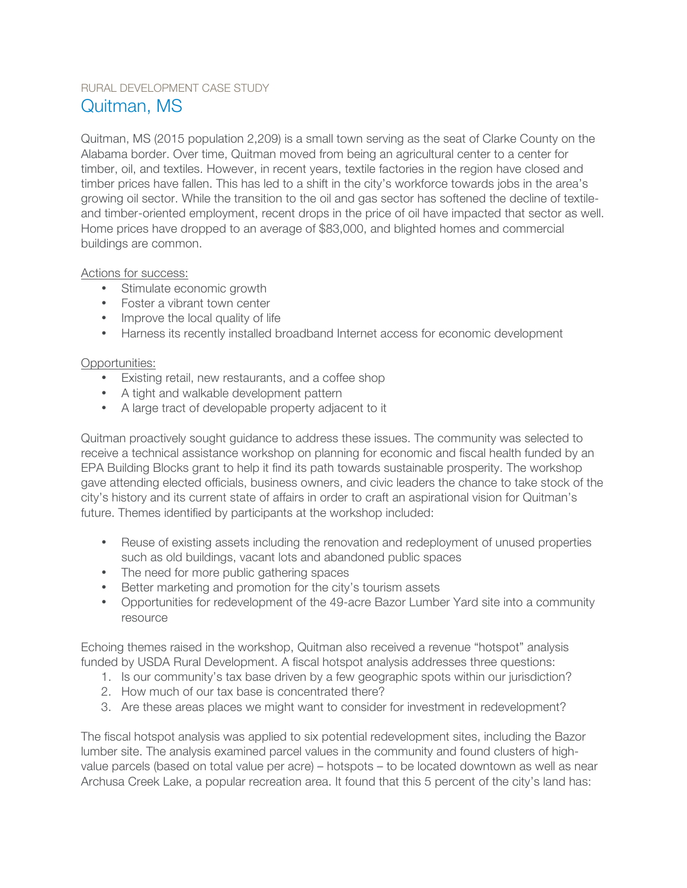## RURAL DEVELOPMENT CASE STUDY Quitman, MS

Quitman, MS (2015 population 2,209) is a small town serving as the seat of Clarke County on the Alabama border. Over time, Quitman moved from being an agricultural center to a center for timber, oil, and textiles. However, in recent years, textile factories in the region have closed and timber prices have fallen. This has led to a shift in the city's workforce towards jobs in the area's growing oil sector. While the transition to the oil and gas sector has softened the decline of textileand timber-oriented employment, recent drops in the price of oil have impacted that sector as well. Home prices have dropped to an average of \$83,000, and blighted homes and commercial buildings are common.

Actions for success:

- Stimulate economic growth
- Foster a vibrant town center
- Improve the local quality of life
- Harness its recently installed broadband Internet access for economic development

## Opportunities:

- Existing retail, new restaurants, and a coffee shop
- A tight and walkable development pattern
- A large tract of developable property adjacent to it

Quitman proactively sought guidance to address these issues. The community was selected to receive a technical assistance workshop on planning for economic and fiscal health funded by an EPA Building Blocks grant to help it find its path towards sustainable prosperity. The workshop gave attending elected officials, business owners, and civic leaders the chance to take stock of the city's history and its current state of affairs in order to craft an aspirational vision for Quitman's future. Themes identified by participants at the workshop included:

- Reuse of existing assets including the renovation and redeployment of unused properties such as old buildings, vacant lots and abandoned public spaces
- The need for more public gathering spaces
- Better marketing and promotion for the city's tourism assets
- Opportunities for redevelopment of the 49-acre Bazor Lumber Yard site into a community resource

Echoing themes raised in the workshop, Quitman also received a revenue "hotspot" analysis funded by USDA Rural Development. A fiscal hotspot analysis addresses three questions:

- 1. Is our community's tax base driven by a few geographic spots within our jurisdiction?
- 2. How much of our tax base is concentrated there?
- 3. Are these areas places we might want to consider for investment in redevelopment?

The fiscal hotspot analysis was applied to six potential redevelopment sites, including the Bazor lumber site. The analysis examined parcel values in the community and found clusters of highvalue parcels (based on total value per acre) – hotspots – to be located downtown as well as near Archusa Creek Lake, a popular recreation area. It found that this 5 percent of the city's land has: